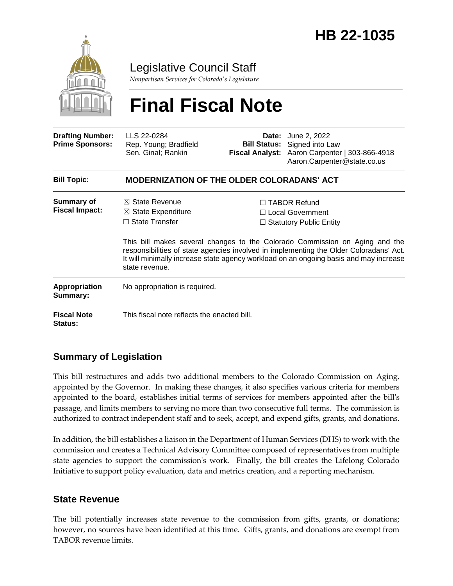

Legislative Council Staff

*Nonpartisan Services for Colorado's Legislature*

# **Final Fiscal Note**

| <b>Drafting Number:</b><br><b>Prime Sponsors:</b>                 | LLS 22-0284<br>Rep. Young; Bradfield<br>Sen. Ginal; Rankin                                     |  | <b>Date:</b> June 2, 2022<br><b>Bill Status:</b> Signed into Law<br>Fiscal Analyst: Aaron Carpenter   303-866-4918<br>Aaron.Carpenter@state.co.us                                                                                                                                                                                             |  |
|-------------------------------------------------------------------|------------------------------------------------------------------------------------------------|--|-----------------------------------------------------------------------------------------------------------------------------------------------------------------------------------------------------------------------------------------------------------------------------------------------------------------------------------------------|--|
| <b>Bill Topic:</b>                                                | <b>MODERNIZATION OF THE OLDER COLORADANS' ACT</b>                                              |  |                                                                                                                                                                                                                                                                                                                                               |  |
| <b>Summary of</b><br><b>Fiscal Impact:</b>                        | $\boxtimes$ State Revenue<br>$\boxtimes$ State Expenditure<br>$\Box$ State Transfer            |  | $\Box$ TABOR Refund<br>□ Local Government<br>$\Box$ Statutory Public Entity<br>This bill makes several changes to the Colorado Commission on Aging and the<br>responsibilities of state agencies involved in implementing the Older Coloradans' Act.<br>It will minimally increase state agency workload on an ongoing basis and may increase |  |
| Appropriation<br>Summary:<br><b>Fiscal Note</b><br><b>Status:</b> | state revenue.<br>No appropriation is required.<br>This fiscal note reflects the enacted bill. |  |                                                                                                                                                                                                                                                                                                                                               |  |

## **Summary of Legislation**

This bill restructures and adds two additional members to the Colorado Commission on Aging, appointed by the Governor. In making these changes, it also specifies various criteria for members appointed to the board, establishes initial terms of services for members appointed after the bill's passage, and limits members to serving no more than two consecutive full terms. The commission is authorized to contract independent staff and to seek, accept, and expend gifts, grants, and donations.

In addition, the bill establishes a liaison in the Department of Human Services (DHS) to work with the commission and creates a Technical Advisory Committee composed of representatives from multiple state agencies to support the commission's work. Finally, the bill creates the Lifelong Colorado Initiative to support policy evaluation, data and metrics creation, and a reporting mechanism.

### **State Revenue**

The bill potentially increases state revenue to the commission from gifts, grants, or donations; however, no sources have been identified at this time. Gifts, grants, and donations are exempt from TABOR revenue limits.